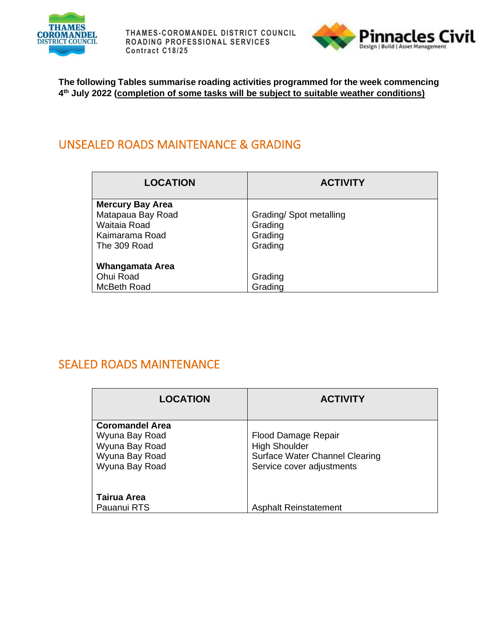



**The following Tables summarise roading activities programmed for the week commencing 4 th July 2022 (completion of some tasks will be subject to suitable weather conditions)**

#### UNSEALED ROADS MAINTENANCE & GRADING

| <b>LOCATION</b>                                                                                | <b>ACTIVITY</b>                                         |
|------------------------------------------------------------------------------------------------|---------------------------------------------------------|
| <b>Mercury Bay Area</b><br>Matapaua Bay Road<br>Waitaia Road<br>Kaimarama Road<br>The 309 Road | Grading/Spot metalling<br>Grading<br>Grading<br>Grading |
| Whangamata Area<br>Ohui Road<br>McBeth Road                                                    | Grading<br>Grading                                      |

#### SEALED ROADS MAINTENANCE

| <b>LOCATION</b>                                                                                | <b>ACTIVITY</b>                                                                                            |
|------------------------------------------------------------------------------------------------|------------------------------------------------------------------------------------------------------------|
| <b>Coromandel Area</b><br>Wyuna Bay Road<br>Wyuna Bay Road<br>Wyuna Bay Road<br>Wyuna Bay Road | Flood Damage Repair<br><b>High Shoulder</b><br>Surface Water Channel Clearing<br>Service cover adjustments |
| Tairua Area<br>Pauanui RTS                                                                     | <b>Asphalt Reinstatement</b>                                                                               |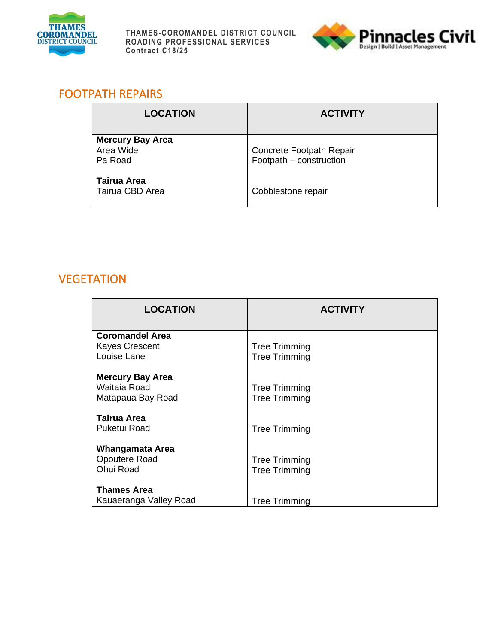



#### FOOTPATH REPAIRS

| <b>LOCATION</b>                                 | <b>ACTIVITY</b>                                     |
|-------------------------------------------------|-----------------------------------------------------|
| <b>Mercury Bay Area</b><br>Area Wide<br>Pa Road | Concrete Footpath Repair<br>Footpath - construction |
| <b>Tairua Area</b><br>Tairua CBD Area           | Cobblestone repair                                  |

## **VEGETATION**

| <b>LOCATION</b>                                              | <b>ACTIVITY</b>                              |
|--------------------------------------------------------------|----------------------------------------------|
| <b>Coromandel Area</b>                                       |                                              |
| <b>Kayes Crescent</b>                                        | <b>Tree Trimming</b>                         |
| Louise Lane                                                  | <b>Tree Trimming</b>                         |
| <b>Mercury Bay Area</b><br>Waitaia Road<br>Matapaua Bay Road | <b>Tree Trimming</b><br><b>Tree Trimming</b> |
| Tairua Area<br>Puketui Road                                  | <b>Tree Trimming</b>                         |
| Whangamata Area<br>Opoutere Road<br>Ohui Road                | <b>Tree Trimming</b><br><b>Tree Trimming</b> |
| <b>Thames Area</b>                                           |                                              |
| Kauaeranga Valley Road                                       | <b>Tree Trimming</b>                         |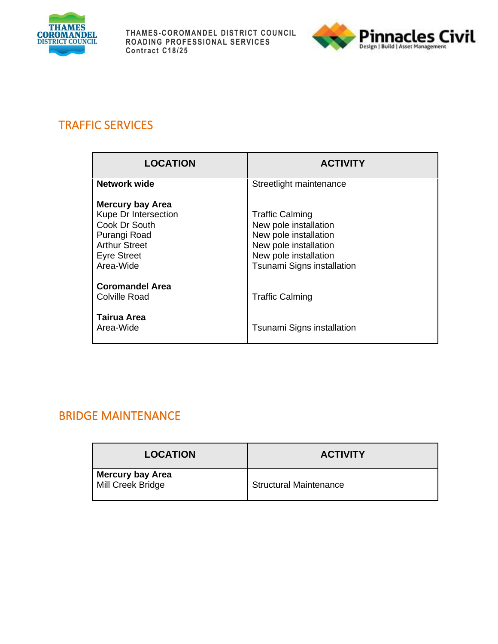



# TRAFFIC SERVICES

| <b>LOCATION</b>                                                                                                                             | <b>ACTIVITY</b>                                                                                                                                          |
|---------------------------------------------------------------------------------------------------------------------------------------------|----------------------------------------------------------------------------------------------------------------------------------------------------------|
| <b>Network wide</b>                                                                                                                         | Streetlight maintenance                                                                                                                                  |
| <b>Mercury bay Area</b><br>Kupe Dr Intersection<br>Cook Dr South<br>Purangi Road<br><b>Arthur Street</b><br><b>Eyre Street</b><br>Area-Wide | <b>Traffic Calming</b><br>New pole installation<br>New pole installation<br>New pole installation<br>New pole installation<br>Tsunami Signs installation |
| <b>Coromandel Area</b><br><b>Colville Road</b>                                                                                              | <b>Traffic Calming</b>                                                                                                                                   |
| Tairua Area<br>Area-Wide                                                                                                                    | Tsunami Signs installation                                                                                                                               |

# BRIDGE MAINTENANCE

| <b>LOCATION</b>                              | <b>ACTIVITY</b>               |
|----------------------------------------------|-------------------------------|
| <b>Mercury bay Area</b><br>Mill Creek Bridge | <b>Structural Maintenance</b> |